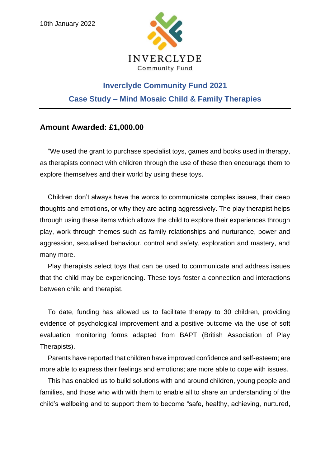

## **Inverclyde Community Fund 2021 Case Study – Mind Mosaic Child & Family Therapies**

## **Amount Awarded: £1,000.00**

"We used the grant to purchase specialist toys, games and books used in therapy, as therapists connect with children through the use of these then encourage them to explore themselves and their world by using these toys.

Children don't always have the words to communicate complex issues, their deep thoughts and emotions, or why they are acting aggressively. The play therapist helps through using these items which allows the child to explore their experiences through play, work through themes such as family relationships and nurturance, power and aggression, sexualised behaviour, control and safety, exploration and mastery, and many more.

Play therapists select toys that can be used to communicate and address issues that the child may be experiencing. These toys foster a connection and interactions between child and therapist.

To date, funding has allowed us to facilitate therapy to 30 children, providing evidence of psychological improvement and a positive outcome via the use of soft evaluation monitoring forms adapted from BAPT (British Association of Play Therapists).

Parents have reported that children have improved confidence and self-esteem; are more able to express their feelings and emotions; are more able to cope with issues.

This has enabled us to build solutions with and around children, young people and families, and those who with with them to enable all to share an understanding of the child's wellbeing and to support them to become "safe, healthy, achieving, nurtured,